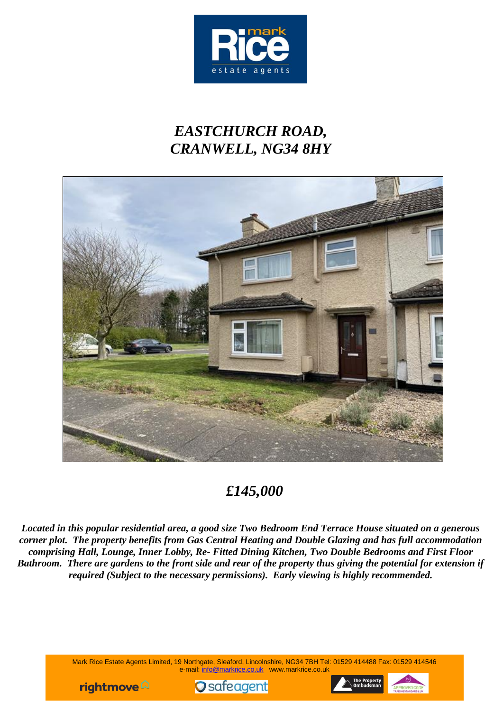

# *EASTCHURCH ROAD, CRANWELL, NG34 8HY*



## *£145,000*

*Located in this popular residential area, a good size Two Bedroom End Terrace House situated on a generous corner plot. The property benefits from Gas Central Heating and Double Glazing and has full accommodation comprising Hall, Lounge, Inner Lobby, Re- Fitted Dining Kitchen, Two Double Bedrooms and First Floor Bathroom. There are gardens to the front side and rear of the property thus giving the potential for extension if required (Subject to the necessary permissions). Early viewing is highly recommended.*

> Mark Rice Estate Agents Limited, 19 Northgate, Sleaford, Lincolnshire, NG34 7BH Tel: 01529 414488 Fax: 01529 414546 e-mail: info@markrice.co.uk www.markrice.co.uk





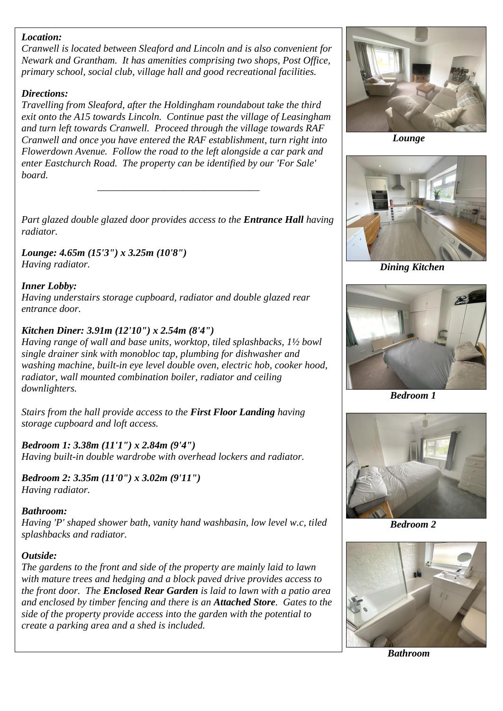#### *Location:*

*Cranwell is located between Sleaford and Lincoln and is also convenient for Newark and Grantham. It has amenities comprising two shops, Post Office, primary school, social club, village hall and good recreational facilities.*

### *Directions:*

*Travelling from Sleaford, after the Holdingham roundabout take the third exit onto the A15 towards Lincoln. Continue past the village of Leasingham and turn left towards Cranwell. Proceed through the village towards RAF Cranwell and once you have entered the RAF establishment, turn right into Flowerdown Avenue. Follow the road to the left alongside a car park and enter Eastchurch Road. The property can be identified by our 'For Sale' board.*

*Part glazed double glazed door provides access to the Entrance Hall having radiator.*

*\_\_\_\_\_\_\_\_\_\_\_\_\_\_\_\_\_\_\_\_\_\_\_\_\_\_\_\_\_\_\_\_*

#### *Lounge: 4.65m (15'3") x 3.25m (10'8") Having radiator.*

## *Inner Lobby:*

*Having understairs storage cupboard, radiator and double glazed rear entrance door.*

## *Kitchen Diner: 3.91m (12'10") x 2.54m (8'4")*

*Having range of wall and base units, worktop, tiled splashbacks, 1½ bowl single drainer sink with monobloc tap, plumbing for dishwasher and washing machine, built-in eye level double oven, electric hob, cooker hood, radiator, wall mounted combination boiler, radiator and ceiling downlighters.*

*Stairs from the hall provide access to the First Floor Landing having storage cupboard and loft access.*

## *Bedroom 1: 3.38m (11'1") x 2.84m (9'4")*

*Having built-in double wardrobe with overhead lockers and radiator.*

*Bedroom 2: 3.35m (11'0") x 3.02m (9'11") Having radiator.*

#### *Bathroom:*

*Having 'P' shaped shower bath, vanity hand washbasin, low level w.c, tiled splashbacks and radiator.*

#### *Outside:*

*The gardens to the front and side of the property are mainly laid to lawn with mature trees and hedging and a block paved drive provides access to the front door. The Enclosed Rear Garden is laid to lawn with a patio area and enclosed by timber fencing and there is an Attached Store. Gates to the side of the property provide access into the garden with the potential to create a parking area and a shed is included.*



 *Lounge*



*Dining Kitchen*



 *Bedroom 1*



 *Bedroom 2*



 *Bathroom*